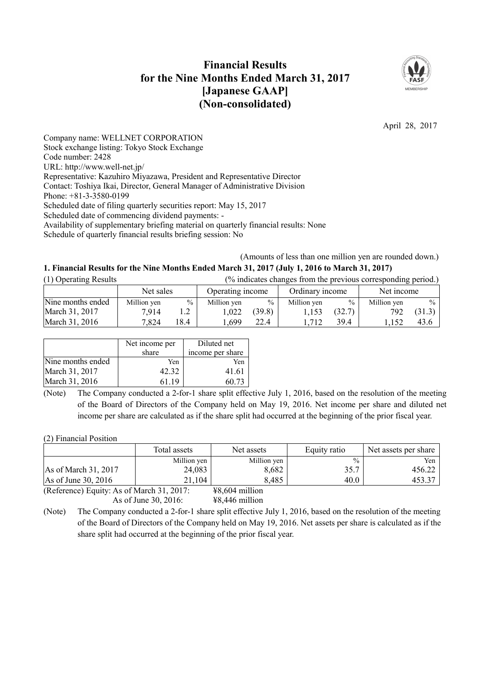# **Financial Results for the Nine Months Ended March 31, 2017 [Japanese GAAP] (Non-consolidated)**



April 28, 2017

Company name: WELLNET CORPORATION Stock exchange listing: Tokyo Stock Exchange Code number: 2428 URL: http://www.well-net.jp/ Representative: Kazuhiro Miyazawa, President and Representative Director Contact: Toshiya Ikai, Director, General Manager of Administrative Division Phone: +81-3-3580-0199 Scheduled date of filing quarterly securities report: May 15, 2017 Scheduled date of commencing dividend payments: - Availability of supplementary briefing material on quarterly financial results: None Schedule of quarterly financial results briefing session: No

(Amounts of less than one million yen are rounded down.)

## **1. Financial Results for the Nine Months Ended March 31, 2017 (July 1, 2016 to March 31, 2017)**

| (1) Operating Results | (% indicates changes from the previous corresponding period.) |      |                  |               |                 |               |             |               |
|-----------------------|---------------------------------------------------------------|------|------------------|---------------|-----------------|---------------|-------------|---------------|
|                       | Net sales                                                     |      | Operating income |               | Ordinary income |               | Net income  |               |
| Nine months ended     | Million yen                                                   | $\%$ | Million yen      | $\frac{0}{0}$ | Million yen     | $\frac{0}{0}$ | Million yen | $\frac{0}{0}$ |
| March 31, 2017        | 7.914                                                         |      | .022             | (39.8)        | 1.153           | (32.7)        | 792         | (31.3)        |
| March 31, 2016        | 7,824                                                         | 18.4 | .699             | 22.4          | 1.712           | 39.4          | .152        | 43.6          |

|                   | Net income per<br>share | Diluted net<br>income per share |
|-------------------|-------------------------|---------------------------------|
| Nine months ended | Yen                     | Yen                             |
| March 31, 2017    | 42.32                   | 41.61                           |
| March 31, 2016    | 61 19                   | 60.73                           |

(Note) The Company conducted a 2-for-1 share split effective July 1, 2016, based on the resolution of the meeting of the Board of Directors of the Company held on May 19, 2016. Net income per share and diluted net income per share are calculated as if the share split had occurred at the beginning of the prior fiscal year.

(2) Financial Position

|                                                                                                                                                                                                                                                                                                                           | Total assets | Net assets                 | Equity ratio  | Net assets per share |
|---------------------------------------------------------------------------------------------------------------------------------------------------------------------------------------------------------------------------------------------------------------------------------------------------------------------------|--------------|----------------------------|---------------|----------------------|
|                                                                                                                                                                                                                                                                                                                           | Million yen  | Million yen                | $\frac{0}{0}$ | Yen                  |
| As of March 31, 2017                                                                                                                                                                                                                                                                                                      | 24,083       | 8,682                      | 35.7          | 456.22               |
| As of June 30, 2016                                                                                                                                                                                                                                                                                                       | 21,104       | 8,485                      | 40.0          | 453.37               |
| $(D, f_{\text{univ}})$ $\Gamma$ $\ldots$ $\mu$ $\mu$ $\sim$ $\ell$ M $\mu$ $\mu$ , $\ell$ $\sim$ $\ell$ $\sim$ $\ell$ $\sim$ $\ell$ $\sim$ $\ell$ $\sim$ $\ell$ $\sim$ $\ell$ $\sim$ $\ell$ $\sim$ $\ell$ $\sim$ $\ell$ $\sim$ $\ell$ $\sim$ $\ell$ $\sim$ $\ell$ $\sim$ $\ell$ $\sim$ $\ell$ $\sim$ $\ell$ $\sim$ $\ell$ |              | $VQ_{0}$ $CQ_{4}$ $$ $111$ |               |                      |

(Reference) Equity: As of March 31, 2017: ¥8,604 million As of June 30, 2016: ¥8,446 million

(Note) The Company conducted a 2-for-1 share split effective July 1, 2016, based on the resolution of the meeting of the Board of Directors of the Company held on May 19, 2016. Net assets per share is calculated as if the share split had occurred at the beginning of the prior fiscal year.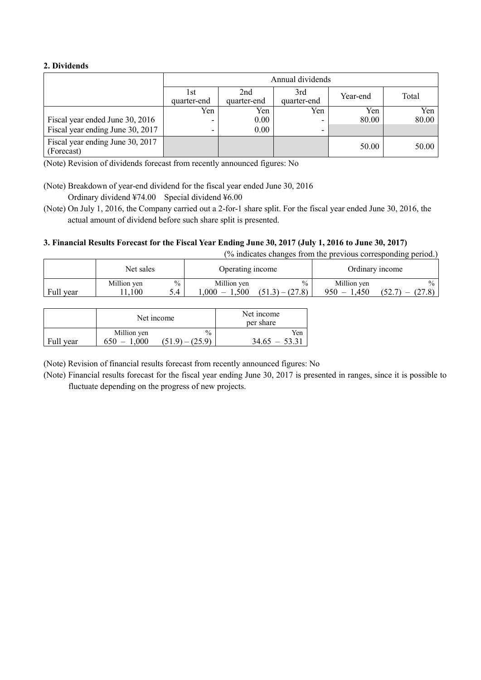### **2. Dividends**

|                                                | Annual dividends    |                    |                    |          |       |  |
|------------------------------------------------|---------------------|--------------------|--------------------|----------|-------|--|
|                                                | l st<br>quarter-end | 2nd<br>quarter-end | 3rd<br>quarter-end | Year-end | Total |  |
|                                                | Yen                 | Yen                | Yen                | Yen      | Yen   |  |
| Fiscal year ended June 30, 2016                |                     | 0.00               |                    | 80.00    | 80.00 |  |
| Fiscal year ending June 30, 2017               | ۰                   | 0.00               |                    |          |       |  |
| Fiscal year ending June 30, 2017<br>(Forecast) |                     |                    |                    | 50.00    | 50.00 |  |

(Note) Revision of dividends forecast from recently announced figures: No

(Note) Breakdown of year-end dividend for the fiscal year ended June 30, 2016 Ordinary dividend ¥74.00 Special dividend ¥6.00

(Note) On July 1, 2016, the Company carried out a 2-for-1 share split. For the fiscal year ended June 30, 2016, the actual amount of dividend before such share split is presented.

## 3. Financial Results Forecast for the Fiscal Year Ending June 30, 2017 (July 1, 2016 to June 30, 2017)

(% indicates changes from the previous corresponding period.)

|           | Net sales           |             | Operating income                |                                    | Ordinary income                 |                                          |
|-----------|---------------------|-------------|---------------------------------|------------------------------------|---------------------------------|------------------------------------------|
| Full year | Million yen<br>.100 | $\%$<br>5.4 | Million ven<br>$-1,500$<br>.000 | $\frac{0}{0}$<br>$(51.3) - (27.8)$ | Million yen<br>1,450<br>$950 -$ | $\frac{0}{0}$<br>(52.7)<br>(27.8)<br>$-$ |

|           |             | Net income | Net income<br>per share |
|-----------|-------------|------------|-------------------------|
| Full year | Million yen | $\%$       | Yen                     |
|           | .000        | (51.9)     | 34.65                   |

(Note) Revision of financial results forecast from recently announced figures: No

(Note) Financial results forecast for the fiscal year ending June 30, 2017 is presented in ranges, since it is possible to fluctuate depending on the progress of new projects.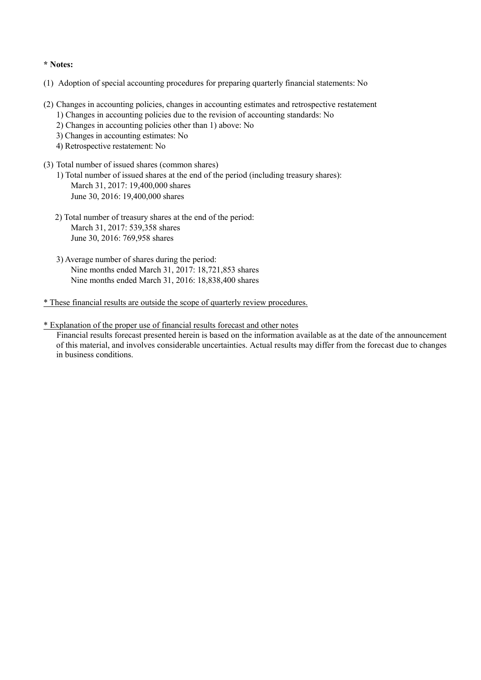#### **\* Notes:**

- (1) Adoption of special accounting procedures for preparing quarterly financial statements: No
- (2) Changes in accounting policies, changes in accounting estimates and retrospective restatement
	- 1) Changes in accounting policies due to the revision of accounting standards: No
	- 2) Changes in accounting policies other than 1) above: No
	- 3) Changes in accounting estimates: No
	- 4) Retrospective restatement: No
- (3) Total number of issued shares (common shares)
	- 1) Total number of issued shares at the end of the period (including treasury shares): March 31, 2017: 19,400,000 shares June 30, 2016: 19,400,000 shares
	- 2) Total number of treasury shares at the end of the period: March 31, 2017: 539,358 shares June 30, 2016: 769,958 shares
	- 3) Average number of shares during the period: Nine months ended March 31, 2017: 18,721,853 shares Nine months ended March 31, 2016: 18,838,400 shares

\* These financial results are outside the scope of quarterly review procedures.

\* Explanation of the proper use of financial results forecast and other notes Financial results forecast presented herein is based on the information available as at the date of the announcement of this material, and involves considerable uncertainties. Actual results may differ from the forecast due to changes in business conditions.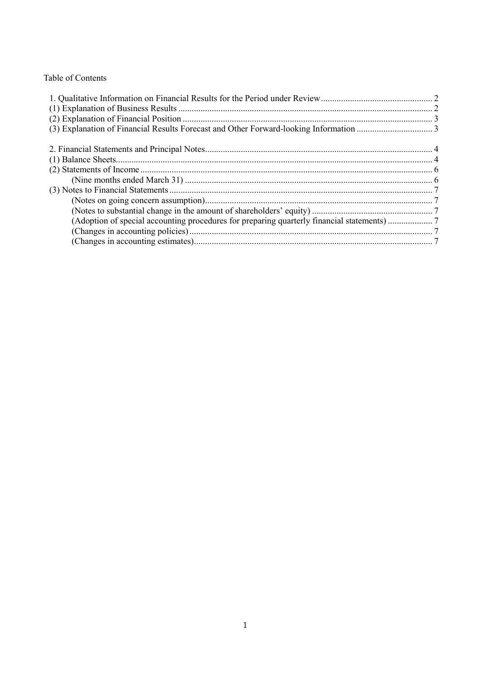# Table of Contents

| (Adoption of special accounting procedures for preparing quarterly financial statements) |  |
|------------------------------------------------------------------------------------------|--|
|                                                                                          |  |
|                                                                                          |  |
|                                                                                          |  |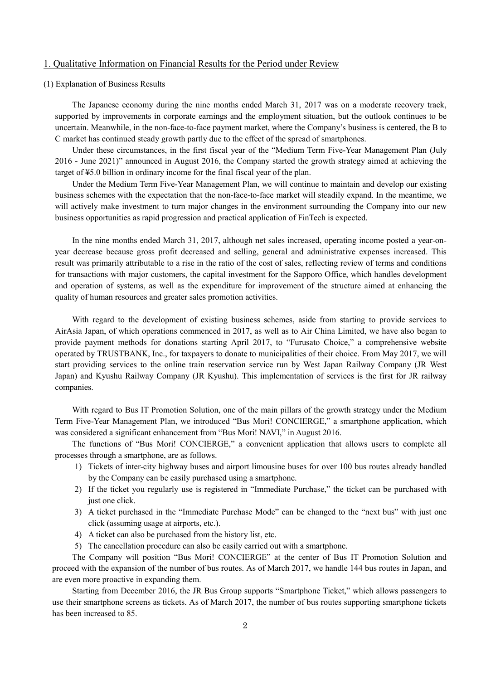#### 1. Qualitative Information on Financial Results for the Period under Review

#### (1) Explanation of Business Results

The Japanese economy during the nine months ended March 31, 2017 was on a moderate recovery track, supported by improvements in corporate earnings and the employment situation, but the outlook continues to be uncertain. Meanwhile, in the non-face-to-face payment market, where the Company's business is centered, the B to C market has continued steady growth partly due to the effect of the spread of smartphones.

Under these circumstances, in the first fiscal year of the "Medium Term Five-Year Management Plan (July 2016 - June 2021)" announced in August 2016, the Company started the growth strategy aimed at achieving the target of ¥5.0 billion in ordinary income for the final fiscal year of the plan.

Under the Medium Term Five-Year Management Plan, we will continue to maintain and develop our existing business schemes with the expectation that the non-face-to-face market will steadily expand. In the meantime, we will actively make investment to turn major changes in the environment surrounding the Company into our new business opportunities as rapid progression and practical application of FinTech is expected.

In the nine months ended March 31, 2017, although net sales increased, operating income posted a year-onyear decrease because gross profit decreased and selling, general and administrative expenses increased. This result was primarily attributable to a rise in the ratio of the cost of sales, reflecting review of terms and conditions for transactions with major customers, the capital investment for the Sapporo Office, which handles development and operation of systems, as well as the expenditure for improvement of the structure aimed at enhancing the quality of human resources and greater sales promotion activities.

With regard to the development of existing business schemes, aside from starting to provide services to AirAsia Japan, of which operations commenced in 2017, as well as to Air China Limited, we have also began to provide payment methods for donations starting April 2017, to "Furusato Choice," a comprehensive website operated by TRUSTBANK, Inc., for taxpayers to donate to municipalities of their choice. From May 2017, we will start providing services to the online train reservation service run by West Japan Railway Company (JR West Japan) and Kyushu Railway Company (JR Kyushu). This implementation of services is the first for JR railway companies.

With regard to Bus IT Promotion Solution, one of the main pillars of the growth strategy under the Medium Term Five-Year Management Plan, we introduced "Bus Mori! CONCIERGE," a smartphone application, which was considered a significant enhancement from "Bus Mori! NAVI," in August 2016.

The functions of "Bus Mori! CONCIERGE," a convenient application that allows users to complete all processes through a smartphone, are as follows.

- 1) Tickets of inter-city highway buses and airport limousine buses for over 100 bus routes already handled by the Company can be easily purchased using a smartphone.
- 2) If the ticket you regularly use is registered in "Immediate Purchase," the ticket can be purchased with just one click.
- 3) A ticket purchased in the "Immediate Purchase Mode" can be changed to the "next bus" with just one click (assuming usage at airports, etc.).
- 4) A ticket can also be purchased from the history list, etc.
- 5) The cancellation procedure can also be easily carried out with a smartphone.

The Company will position "Bus Mori! CONCIERGE" at the center of Bus IT Promotion Solution and proceed with the expansion of the number of bus routes. As of March 2017, we handle 144 bus routes in Japan, and are even more proactive in expanding them.

Starting from December 2016, the JR Bus Group supports "Smartphone Ticket," which allows passengers to use their smartphone screens as tickets. As of March 2017, the number of bus routes supporting smartphone tickets has been increased to 85.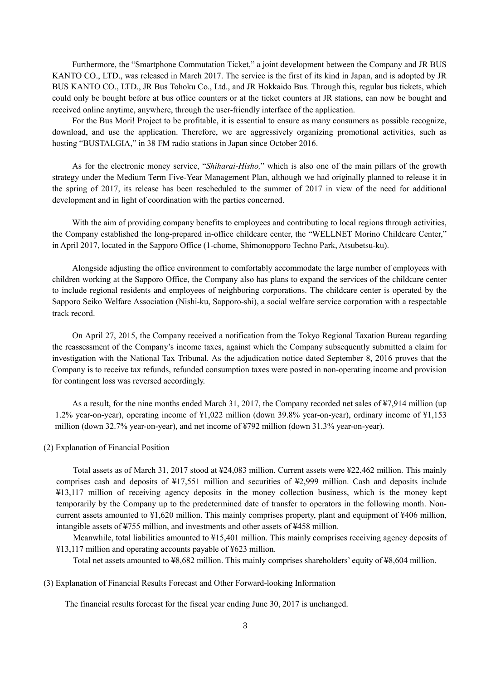Furthermore, the "Smartphone Commutation Ticket," a joint development between the Company and JR BUS KANTO CO., LTD., was released in March 2017. The service is the first of its kind in Japan, and is adopted by JR BUS KANTO CO., LTD., JR Bus Tohoku Co., Ltd., and JR Hokkaido Bus. Through this, regular bus tickets, which could only be bought before at bus office counters or at the ticket counters at JR stations, can now be bought and received online anytime, anywhere, through the user-friendly interface of the application.

For the Bus Mori! Project to be profitable, it is essential to ensure as many consumers as possible recognize, download, and use the application. Therefore, we are aggressively organizing promotional activities, such as hosting "BUSTALGIA," in 38 FM radio stations in Japan since October 2016.

As for the electronic money service, "*Shiharai-Hisho,*" which is also one of the main pillars of the growth strategy under the Medium Term Five-Year Management Plan, although we had originally planned to release it in the spring of 2017, its release has been rescheduled to the summer of 2017 in view of the need for additional development and in light of coordination with the parties concerned.

With the aim of providing company benefits to employees and contributing to local regions through activities, the Company established the long-prepared in-office childcare center, the "WELLNET Morino Childcare Center," in April 2017, located in the Sapporo Office (1-chome, Shimonopporo Techno Park, Atsubetsu-ku).

Alongside adjusting the office environment to comfortably accommodate the large number of employees with children working at the Sapporo Office, the Company also has plans to expand the services of the childcare center to include regional residents and employees of neighboring corporations. The childcare center is operated by the Sapporo Seiko Welfare Association (Nishi-ku, Sapporo-shi), a social welfare service corporation with a respectable track record.

On April 27, 2015, the Company received a notification from the Tokyo Regional Taxation Bureau regarding the reassessment of the Company's income taxes, against which the Company subsequently submitted a claim for investigation with the National Tax Tribunal. As the adjudication notice dated September 8, 2016 proves that the Company is to receive tax refunds, refunded consumption taxes were posted in non-operating income and provision for contingent loss was reversed accordingly.

As a result, for the nine months ended March 31, 2017, the Company recorded net sales of ¥7,914 million (up 1.2% year-on-year), operating income of ¥1,022 million (down 39.8% year-on-year), ordinary income of ¥1,153 million (down 32.7% year-on-year), and net income of ¥792 million (down 31.3% year-on-year).

#### (2) Explanation of Financial Position

Total assets as of March 31, 2017 stood at ¥24,083 million. Current assets were ¥22,462 million. This mainly comprises cash and deposits of ¥17,551 million and securities of ¥2,999 million. Cash and deposits include ¥13,117 million of receiving agency deposits in the money collection business, which is the money kept temporarily by the Company up to the predetermined date of transfer to operators in the following month. Noncurrent assets amounted to ¥1,620 million. This mainly comprises property, plant and equipment of ¥406 million, intangible assets of ¥755 million, and investments and other assets of ¥458 million.

Meanwhile, total liabilities amounted to ¥15,401 million. This mainly comprises receiving agency deposits of ¥13,117 million and operating accounts payable of ¥623 million.

Total net assets amounted to ¥8,682 million. This mainly comprises shareholders' equity of ¥8,604 million.

(3) Explanation of Financial Results Forecast and Other Forward-looking Information

The financial results forecast for the fiscal year ending June 30, 2017 is unchanged.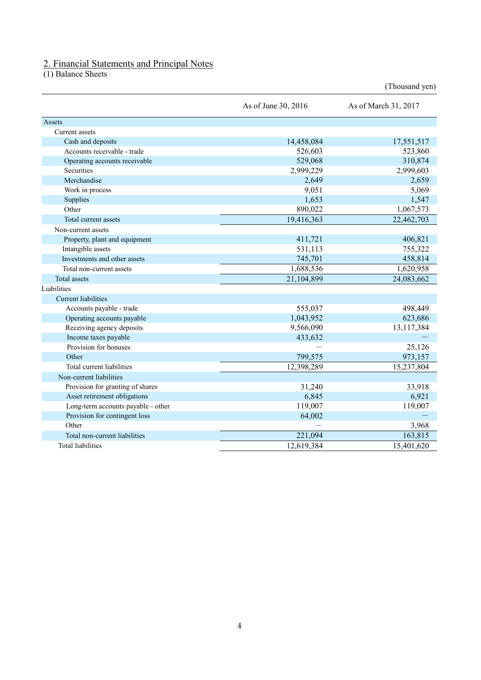#### 2. Financial Statements and Principal Notes

(1) Balance Sheets

|                                    | As of June 30, 2016 | As of March 31, 2017 |
|------------------------------------|---------------------|----------------------|
| Assets                             |                     |                      |
| Current assets                     |                     |                      |
| Cash and deposits                  | 14,458,084          | 17,551,517           |
| Accounts receivable - trade        | 526,603             | 523,860              |
| Operating accounts receivable      | 529,068             | 310,874              |
| <b>Securities</b>                  | 2,999,229           | 2,999,603            |
| Merchandise                        | 2,649               | 2,659                |
| Work in process                    | 9,051               | 5,069                |
| Supplies                           | 1,653               | 1,547                |
| Other                              | 890,022             | 1,067,573            |
| Total current assets               | 19,416,363          | 22,462,703           |
| Non-current assets                 |                     |                      |
| Property, plant and equipment      | 411,721             | 406,821              |
| Intangible assets                  | 531,113             | 755,322              |
| Investments and other assets       | 745,701             | 458,814              |
| Total non-current assets           | 1,688,536           | 1,620,958            |
| <b>Total assets</b>                | 21,104,899          | 24,083,662           |
| Liabilities                        |                     |                      |
| <b>Current liabilities</b>         |                     |                      |
| Accounts payable - trade           | 555,037             | 498,449              |
| Operating accounts payable         | 1,043,952           | 623,686              |
| Receiving agency deposits          | 9,566,090           | 13,117,384           |
| Income taxes payable               | 433,632             |                      |
| Provision for bonuses              |                     | 25,126               |
| Other                              | 799,575             | 973,157              |
| Total current liabilities          | 12,398,289          | 15,237,804           |
| Non-current liabilities            |                     |                      |
| Provision for granting of shares   | 31,240              | 33,918               |
| Asset retirement obligations       | 6,845               | 6,921                |
| Long-term accounts payable - other | 119,007             | 119,007              |
| Provision for contingent loss      | 64,002              |                      |
| Other                              |                     | 3,968                |
| Total non-current liabilities      | 221,094             | 163,815              |
| <b>Total liabilities</b>           | 12,619,384          | 15,401,620           |

(Thousand yen)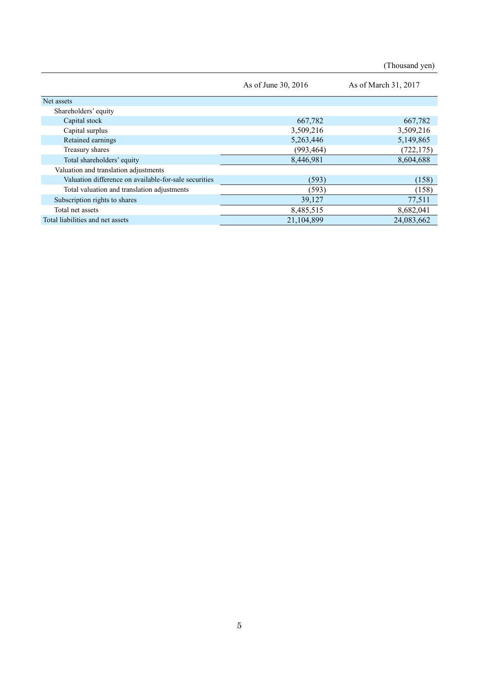(Thousand yen)

|                                                       | As of June 30, 2016 | As of March 31, 2017 |
|-------------------------------------------------------|---------------------|----------------------|
| Net assets                                            |                     |                      |
| Shareholders' equity                                  |                     |                      |
| Capital stock                                         | 667,782             | 667,782              |
| Capital surplus                                       | 3,509,216           | 3,509,216            |
| Retained earnings                                     | 5,263,446           | 5,149,865            |
| Treasury shares                                       | (993, 464)          | (722, 175)           |
| Total shareholders' equity                            | 8,446,981           | 8,604,688            |
| Valuation and translation adjustments                 |                     |                      |
| Valuation difference on available-for-sale securities | (593)               | (158)                |
| Total valuation and translation adjustments           | (593)               | (158)                |
| Subscription rights to shares                         | 39,127              | 77,511               |
| Total net assets                                      | 8,485,515           | 8,682,041            |
| Total liabilities and net assets                      | 21,104,899          | 24,083,662           |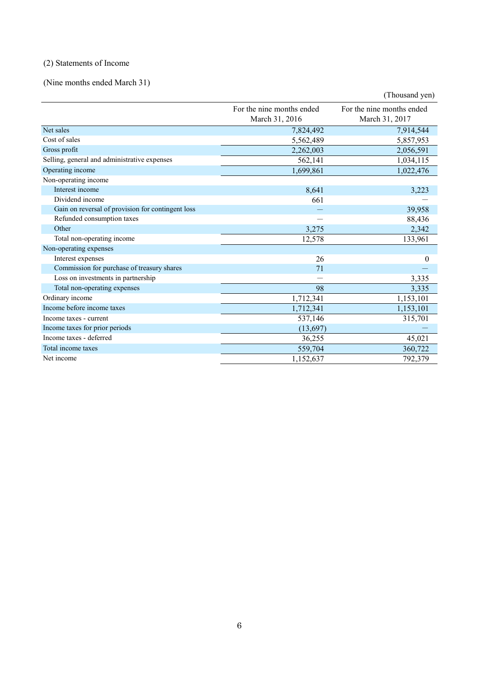# (2) Statements of Income

(Nine months ended March 31)

|                                                   |                                             | (Thousand yen)                              |
|---------------------------------------------------|---------------------------------------------|---------------------------------------------|
|                                                   | For the nine months ended<br>March 31, 2016 | For the nine months ended<br>March 31, 2017 |
| Net sales                                         | 7,824,492                                   | 7,914,544                                   |
| Cost of sales                                     | 5,562,489                                   | 5,857,953                                   |
| Gross profit                                      | 2,262,003                                   | 2,056,591                                   |
| Selling, general and administrative expenses      | 562,141                                     | 1,034,115                                   |
| Operating income                                  | 1,699,861                                   | 1,022,476                                   |
| Non-operating income                              |                                             |                                             |
| Interest income                                   | 8,641                                       | 3,223                                       |
| Dividend income                                   | 661                                         |                                             |
| Gain on reversal of provision for contingent loss |                                             | 39,958                                      |
| Refunded consumption taxes                        |                                             | 88,436                                      |
| Other                                             | 3,275                                       | 2,342                                       |
| Total non-operating income                        | 12,578                                      | 133,961                                     |
| Non-operating expenses                            |                                             |                                             |
| Interest expenses                                 | 26                                          | $\theta$                                    |
| Commission for purchase of treasury shares        | 71                                          |                                             |
| Loss on investments in partnership                |                                             | 3,335                                       |
| Total non-operating expenses                      | 98                                          | 3,335                                       |
| Ordinary income                                   | 1,712,341                                   | 1,153,101                                   |
| Income before income taxes                        | 1,712,341                                   | 1,153,101                                   |
| Income taxes - current                            | 537,146                                     | 315,701                                     |
| Income taxes for prior periods                    | (13,697)                                    |                                             |
| Income taxes - deferred                           | 36,255                                      | 45,021                                      |
| Total income taxes                                | 559,704                                     | 360,722                                     |
| Net income                                        | 1,152,637                                   | 792,379                                     |